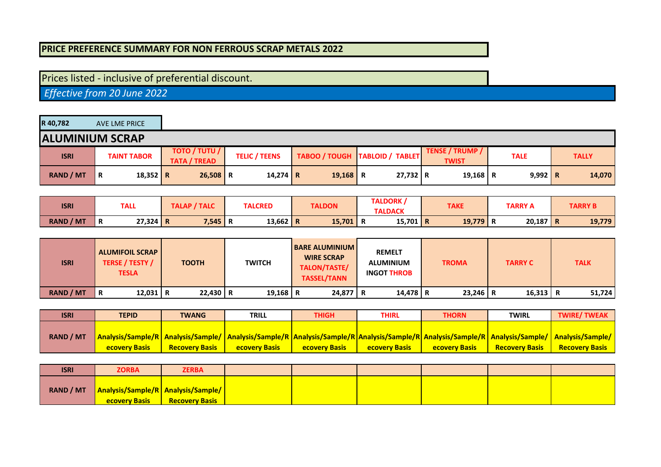## **PRICE PREFERENCE SUMMARY FOR NON FERROUS SCRAP METALS 2022**

## Prices listed - inclusive of preferential discount.

 *Effective from 20 June 2022*

| R 40,782         | AVE LME PRICE          |                                             |                      |            |                                  |                                        |             |              |
|------------------|------------------------|---------------------------------------------|----------------------|------------|----------------------------------|----------------------------------------|-------------|--------------|
|                  | <b>ALUMINIUM SCRAP</b> |                                             |                      |            |                                  |                                        |             |              |
| <b>ISRI</b>      | <b>TAINT TABOR</b>     | <b>TOTO / TUTU /</b><br><b>TATA / TREAD</b> | <b>TELIC / TEENS</b> |            | TABOO / TOUGH   TABLOID / TABLET | <b>TENSE / TRUMP /</b><br><b>TWIST</b> | <b>TALE</b> | <b>TALLY</b> |
| <b>RAND / MT</b> | 18,352 R<br>R          | $26,508$ R                                  | 14,274 R             | $19,168$ R | $27,732$ R                       | 19,168 R                               | $9,992$ R   | 14,070       |

| <b>ISRI</b>      | TALL            | TALAP / TALC | <b>TALCRED</b> | <b>TALDON</b> | TALDORK,<br><b>TALDACK</b> | <b>TAKE</b> | TARRY A | <b>TARRY B</b> |
|------------------|-----------------|--------------|----------------|---------------|----------------------------|-------------|---------|----------------|
| <b>RAND / MT</b> | $27,324$ R<br>R | $7,545$ R    | 13,662         | 15,701<br>l R | 15,701   R<br>n.           | 19,779      | 20,187  | 19,779<br>n    |

| <b>ISRI</b>      | <b>ALUMIFOIL SCRAP</b><br><b>TERSE / TESTY /</b><br><b>TESLA</b> | <b>TOOTH</b> | <b>TWITCH</b> | <b>BARE ALUMINIUM</b><br><b>WIRE SCRAP</b><br>TALON/TASTE/<br><b>TASSEL/TANN</b> | <b>REMELT</b><br><b>ALUMINIUM</b><br><b>INGOT THROB</b> | <b>TROMA</b> | <b>TARRY C</b> | <b>TALK</b> |
|------------------|------------------------------------------------------------------|--------------|---------------|----------------------------------------------------------------------------------|---------------------------------------------------------|--------------|----------------|-------------|
| <b>RAND / MT</b> | 12,031   R<br>R                                                  | $22,430$ R   | $19,168$ R    | 24,877 R                                                                         | 14,478 R                                                | $23,246$ R   | 16,313         | 51,724      |

| <b>ISRI</b>      | <b>TEPID</b>         | <b>TWANG</b>          | <b>TRILL</b>                                                                                                                                                                  | <b>THIGH</b>          | THIRL                | THORN                | <b>TWIRL</b>          | <b>TWIRE/TWEAK</b>    |
|------------------|----------------------|-----------------------|-------------------------------------------------------------------------------------------------------------------------------------------------------------------------------|-----------------------|----------------------|----------------------|-----------------------|-----------------------|
|                  |                      |                       |                                                                                                                                                                               |                       |                      |                      |                       |                       |
| <b>RAND / MT</b> |                      |                       | Analysis/Sample/R   Analysis/Sample/   Analysis/Sample/R   Analysis/Sample/R   Analysis/Sample/R   Analysis/Sample/R   Analysis/Sample/   Analysis/Sample/   Analysis/Sample/ |                       |                      |                      |                       |                       |
|                  | <b>ecovery Basis</b> | <b>Recovery Basis</b> | <b>ecovery Basis</b>                                                                                                                                                          | <b>Recovery Basis</b> | <b>ecovery Basis</b> | <b>ecovery Basis</b> | <b>Recovery Basis</b> | <b>Recovery Basis</b> |

| <b>ISRI</b> | <b>ZORBA</b>                                                          | <b>ZERBA</b>          |  |  |  |
|-------------|-----------------------------------------------------------------------|-----------------------|--|--|--|
| RAND / MT   | <b>Analysis/Sample/R   Analysis/Sample/  </b><br><b>ecovery Basis</b> | <b>Recovery Basis</b> |  |  |  |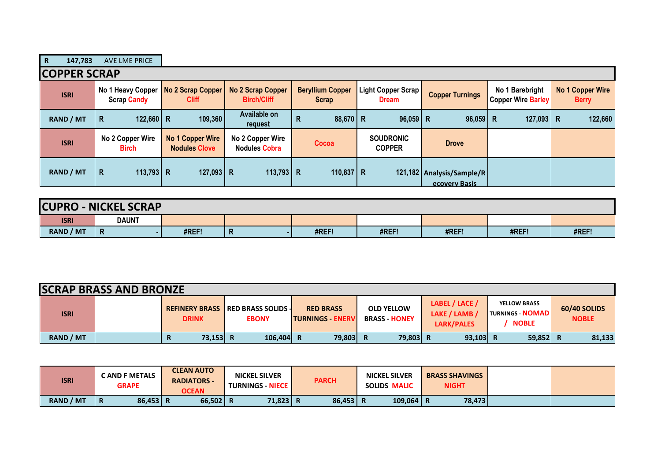| $\mathbf R$<br>147,783 | <b>AVE LME PRICE</b>                    |                                          |                                                |                                         |                                    |                                            |                                              |                                  |  |  |  |
|------------------------|-----------------------------------------|------------------------------------------|------------------------------------------------|-----------------------------------------|------------------------------------|--------------------------------------------|----------------------------------------------|----------------------------------|--|--|--|
|                        | <b>COPPER SCRAP</b>                     |                                          |                                                |                                         |                                    |                                            |                                              |                                  |  |  |  |
| <b>ISRI</b>            | No 1 Heavy Copper<br><b>Scrap Candy</b> | No 2 Scrap Copper<br><b>Cliff</b>        | <b>No 2 Scrap Copper</b><br><b>Birch/Cliff</b> | <b>Beryllium Copper</b><br><b>Scrap</b> | Light Copper Scrap<br><b>Dream</b> | <b>Copper Turnings</b>                     | No 1 Barebright<br><b>Copper Wire Barley</b> | No 1 Copper Wire<br><b>Berry</b> |  |  |  |
| <b>RAND / MT</b>       | $122,660$ R<br>R                        | 109,360                                  | Available on<br>request                        | $88,670$ R<br>R                         | $96,059$   R                       | $96,059$ R                                 | 127,093 R                                    | 122,660                          |  |  |  |
| <b>ISRI</b>            | No 2 Copper Wire<br><b>Birch</b>        | No 1 Copper Wire<br><b>Nodules Clove</b> | No 2 Copper Wire<br><b>Nodules Cobra</b>       | Cocoa                                   | <b>SOUDRONIC</b><br><b>COPPER</b>  | <b>Drove</b>                               |                                              |                                  |  |  |  |
| <b>RAND / MT</b>       | R<br>113,793 R                          | $127,093$ R                              | 113,793   R                                    | 110,837   R                             |                                    | 121,182 Analysis/Sample/R<br>ecovery Basis |                                              |                                  |  |  |  |

| <b>CUPRO</b>     | <b>J-NICKEL SCRAP</b> |       |   |       |       |       |       |       |
|------------------|-----------------------|-------|---|-------|-------|-------|-------|-------|
| <b>ISRI</b>      | <b>DAUNT</b>          |       |   |       |       |       |       |       |
| <b>RAND / MT</b> | R                     | #REF! | n | #REF! | #REF! | #REF! | #REF! | #REF! |

| <b>SCRAP BRASS AND BRONZE</b> |  |                |                                                           |                                              |                                           |                                               |                                                               |                              |  |
|-------------------------------|--|----------------|-----------------------------------------------------------|----------------------------------------------|-------------------------------------------|-----------------------------------------------|---------------------------------------------------------------|------------------------------|--|
| <b>ISRI</b>                   |  | <b>DRINK</b>   | <b>REFINERY BRASS IRED BRASS SOLIDS -</b><br><b>EBONY</b> | <b>RED BRASS</b><br><b>ITURNINGS - ENERV</b> | <b>OLD YELLOW</b><br><b>BRASS - HONEY</b> | LABEL / LACE /<br>LAKE / LAMB /<br>LARK/PALES | <b>YELLOW BRASS</b><br><b>TURNINGS NOMADL</b><br><b>NOBLE</b> | 60/40 SOLIDS<br><b>NOBLE</b> |  |
| <b>RAND / MT</b>              |  | 73,153 R<br>n. | $106,404$ R                                               | 79,803                                       | 79,803 R                                  | $93,103$ R                                    | $59,852$ R                                                    | 81,133                       |  |

| <b>ISRI</b>      | <b>CAND F METALS</b><br><b>GRAPE</b> | <b>CLEAN AUTO</b><br><b>RADIATORS -</b><br><b>OCEAN</b> | <b>NICKEL SILVER</b><br><b>TURNINGS - NIECE  </b> | <b>PARCH</b> | <b>NICKEL SILVER</b><br>SOLIDS MALIC | <b>BRASS SHAVINGS</b><br><b>NIGHT</b> |  |
|------------------|--------------------------------------|---------------------------------------------------------|---------------------------------------------------|--------------|--------------------------------------|---------------------------------------|--|
| <b>RAND / MT</b> | 86,453 R<br>Ð<br>n                   | $66,502$ R                                              | $71,823$ R                                        | 86,453       | $109,064$ R                          | 78,473                                |  |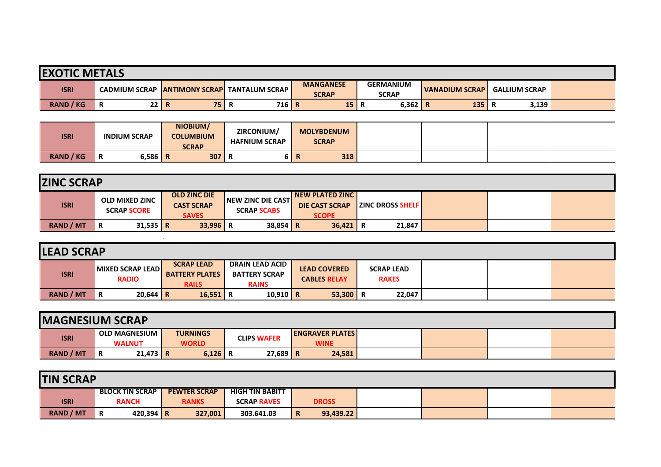| <b>EXOTIC METALS</b> |                      |                         |                         |                                  |                                  |                       |                      |  |  |
|----------------------|----------------------|-------------------------|-------------------------|----------------------------------|----------------------------------|-----------------------|----------------------|--|--|
| <b>ISRI</b>          | <b>CADMIUM SCRAP</b> | <b>IANTIMONY SCRAPI</b> | <b>TANTALUM SCRAP I</b> | <b>MANGANESE</b><br><b>SCRAP</b> | <b>GERMANIUM</b><br><b>SCRAP</b> | <b>VANADIUM SCRAP</b> | <b>GALLIUM SCRAP</b> |  |  |
| <b>RAND / KG</b>     | 22 R<br>Ð<br>R       | 75 I                    | $716$ R<br>n.           | 15                               | 6,362                            | 135<br>-R             | 3,139                |  |  |

| <b>ISRI</b>      | <b>INDIUM SCRAP</b> | NIOBIUM/<br><b>COLUMBIUM</b><br><b>SCRAP</b> | ZIRCONIUM/<br><b>HAFNIUM SCRAP</b> | <b>MOLYBDENUM</b><br><b>SCRAP</b> |  |  |
|------------------|---------------------|----------------------------------------------|------------------------------------|-----------------------------------|--|--|
| <b>RAND / KG</b> | $6,586$ R<br>n      | 307                                          |                                    | 318                               |  |  |

| <b>ZINC SCRAP</b> |                                      |                                                          |                                                  |                                                                   |                         |  |  |  |  |
|-------------------|--------------------------------------|----------------------------------------------------------|--------------------------------------------------|-------------------------------------------------------------------|-------------------------|--|--|--|--|
| <b>ISRI</b>       | OLD MIXED ZINC<br><b>SCRAP SCORE</b> | <b>OLD ZINC DIE</b><br><b>CAST SCRAP</b><br><b>SAVES</b> | <b>INEW ZINC DIE CASTI</b><br><b>SCRAP SCABS</b> | <b>NEW PLATED ZINC I</b><br><b>DIE CAST SCRAP</b><br><b>SCOPE</b> | <b>ZINC DROSS SHELF</b> |  |  |  |  |
| RAND / MT         | $31,535$   R<br>' R                  | $33,996$ R                                               | $38,854$ R                                       | 36,421                                                            | 21,847                  |  |  |  |  |

| <b>LEAD SCRAP</b> |                                  |                                                            |                                                                |                                            |                                   |  |  |  |  |  |  |
|-------------------|----------------------------------|------------------------------------------------------------|----------------------------------------------------------------|--------------------------------------------|-----------------------------------|--|--|--|--|--|--|
| <b>ISRI</b>       | MIXED SCRAP LEAD<br><b>RADIO</b> | <b>SCRAP LEAD</b><br><b>BATTERY PLATES</b><br><b>RAILS</b> | <b>DRAIN LEAD ACID</b><br><b>BATTERY SCRAP</b><br><b>RAINS</b> | <b>LEAD COVERED</b><br><b>CABLES RELAY</b> | <b>SCRAP LEAD</b><br><b>RAKES</b> |  |  |  |  |  |  |
| RAND / MT         | $20,644$ R<br>R                  | $16,551$ R                                                 | 10,910   R                                                     | $53,300$ R                                 | 22,047                            |  |  |  |  |  |  |

| <b>IMAGNESIUM SCRAP</b> |                      |                 |                    |                        |  |  |  |  |  |  |
|-------------------------|----------------------|-----------------|--------------------|------------------------|--|--|--|--|--|--|
| <b>ISRI</b>             | <b>OLD MAGNESIUM</b> | <b>TURNINGS</b> | <b>CLIPS WAFER</b> | <b>ENGRAVER PLATES</b> |  |  |  |  |  |  |
|                         | <b>WALNUT</b>        | <b>WORLD</b>    |                    | <b>WINE</b>            |  |  |  |  |  |  |
| <b>RAND / MT</b>        | $21.473$ R<br>Ð<br>R | $6,126$ R       | $27,689$ R         | 24,581                 |  |  |  |  |  |  |

| <b>TIN SCRAP</b> |                  |   |                        |                     |                        |   |              |  |  |  |  |
|------------------|------------------|---|------------------------|---------------------|------------------------|---|--------------|--|--|--|--|
|                  |                  |   | <b>BLOCK TIN SCRAP</b> | <b>PEWTER SCRAP</b> | <b>HIGH TIN BABITT</b> |   |              |  |  |  |  |
|                  | <b>ISRI</b>      |   | <b>RANCH</b>           | <b>RANKS</b>        | <b>SCRAP RAVES</b>     |   | <b>DROSS</b> |  |  |  |  |
|                  | <b>RAND / MT</b> | R | 420,394 R              | 327,001             | 303.641.03             | R | 93,439.22    |  |  |  |  |